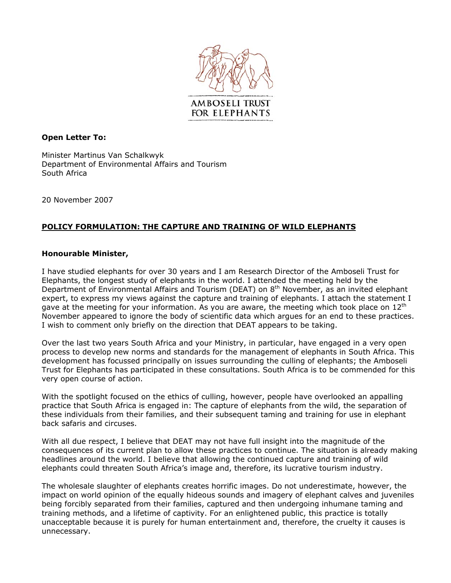

## **Open Letter To:**

Minister Martinus Van Schalkwyk Department of Environmental Affairs and Tourism South Africa

20 November 2007

## **POLICY FORMULATION: THE CAPTURE AND TRAINING OF WILD ELEPHANTS**

## **Honourable Minister,**

I have studied elephants for over 30 years and I am Research Director of the Amboseli Trust for Elephants, the longest study of elephants in the world. I attended the meeting held by the Department of Environmental Affairs and Tourism (DEAT) on 8<sup>th</sup> November, as an invited elephant expert, to express my views against the capture and training of elephants. I attach the statement I gave at the meeting for your information. As you are aware, the meeting which took place on  $12<sup>th</sup>$ November appeared to ignore the body of scientific data which argues for an end to these practices. I wish to comment only briefly on the direction that DEAT appears to be taking.

Over the last two years South Africa and your Ministry, in particular, have engaged in a very open process to develop new norms and standards for the management of elephants in South Africa. This development has focussed principally on issues surrounding the culling of elephants; the Amboseli Trust for Elephants has participated in these consultations. South Africa is to be commended for this very open course of action.

With the spotlight focused on the ethics of culling, however, people have overlooked an appalling practice that South Africa is engaged in: The capture of elephants from the wild, the separation of these individuals from their families, and their subsequent taming and training for use in elephant back safaris and circuses.

With all due respect, I believe that DEAT may not have full insight into the magnitude of the consequences of its current plan to allow these practices to continue. The situation is already making headlines around the world. I believe that allowing the continued capture and training of wild elephants could threaten South Africa's image and, therefore, its lucrative tourism industry.

The wholesale slaughter of elephants creates horrific images. Do not underestimate, however, the impact on world opinion of the equally hideous sounds and imagery of elephant calves and juveniles being forcibly separated from their families, captured and then undergoing inhumane taming and training methods, and a lifetime of captivity. For an enlightened public, this practice is totally unacceptable because it is purely for human entertainment and, therefore, the cruelty it causes is unnecessary.